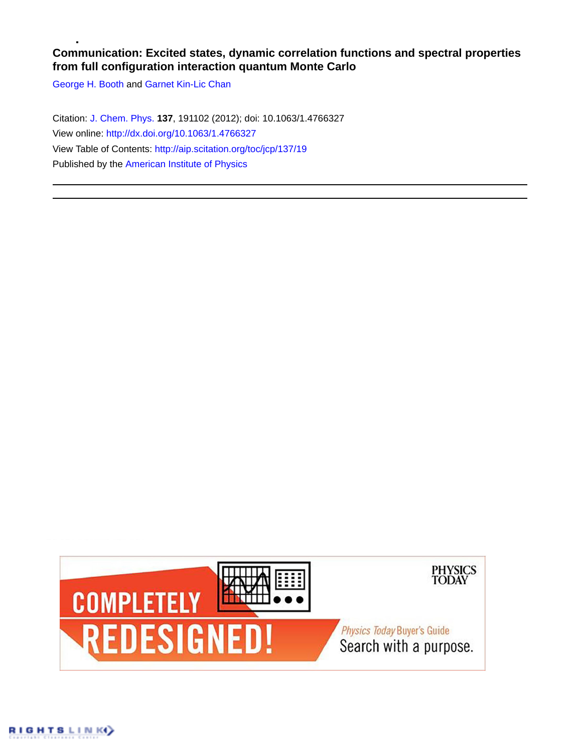## **Communication: Excited states, dynamic correlation functions and spectral properties from full configuration interaction quantum Monte Carlo**

[George H. Booth](http://aip.scitation.org/author/Booth%2C+George+H) and [Garnet Kin-Lic Chan](http://aip.scitation.org/author/Chan%2C+Garnet+Kin-Lic)

Citation: [J. Chem. Phys.](/loi/jcp) **137**, 191102 (2012); doi: 10.1063/1.4766327 View online: <http://dx.doi.org/10.1063/1.4766327> View Table of Contents: <http://aip.scitation.org/toc/jcp/137/19> Published by the [American Institute of Physics](http://aip.scitation.org/publisher/)

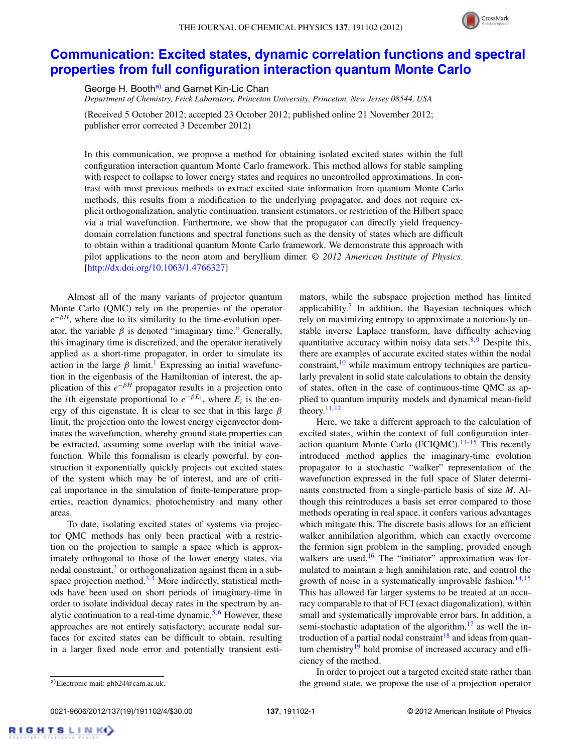

## **[Communication: Excited states, dynamic correlation functions and spectral](http://dx.doi.org/10.1063/1.4766327) [properties from full configuration interaction quantum Monte Carlo](http://dx.doi.org/10.1063/1.4766327)**

George H. Booth<sup>a)</sup> and Garnet Kin-Lic Chan

*Department of Chemistry, Frick Laboratory, Princeton University, Princeton, New Jersey 08544, USA*

(Received 5 October 2012; accepted 23 October 2012; published online 21 November 2012; publisher error corrected 3 December 2012)

In this communication, we propose a method for obtaining isolated excited states within the full configuration interaction quantum Monte Carlo framework. This method allows for stable sampling with respect to collapse to lower energy states and requires no uncontrolled approximations. In contrast with most previous methods to extract excited state information from quantum Monte Carlo methods, this results from a modification to the underlying propagator, and does not require explicit orthogonalization, analytic continuation, transient estimators, or restriction of the Hilbert space via a trial wavefunction. Furthermore, we show that the propagator can directly yield frequencydomain correlation functions and spectral functions such as the density of states which are difficult to obtain within a traditional quantum Monte Carlo framework. We demonstrate this approach with pilot applications to the neon atom and beryllium dimer. *© 2012 American Institute of Physics*. [\[http://dx.doi.org/10.1063/1.4766327\]](http://dx.doi.org/10.1063/1.4766327)

Almost all of the many variants of projector quantum Monte Carlo (QMC) rely on the properties of the operator  $e^{-\beta H}$ , where due to its similarity to the time-evolution operator, the variable  $\beta$  is denoted "imaginary time." Generally, this imaginary time is discretized, and the operator iteratively applied as a short-time propagator, in order to simulate its action in the large  $\beta$  limit.<sup>[1](#page-4-0)</sup> Expressing an initial wavefunction in the eigenbasis of the Hamiltonian of interest, the application of this  $e^{-\beta H}$  propagator results in a projection onto the *i*th eigenstate proportional to  $e^{-\beta E_i}$ , where  $E_i$  is the energy of this eigenstate. It is clear to see that in this large *β* limit, the projection onto the lowest energy eigenvector dominates the wavefunction, whereby ground state properties can be extracted, assuming some overlap with the initial wavefunction. While this formalism is clearly powerful, by construction it exponentially quickly projects out excited states of the system which may be of interest, and are of critical importance in the simulation of finite-temperature properties, reaction dynamics, photochemistry and many other areas.

To date, isolating excited states of systems via projector QMC methods has only been practical with a restriction on the projection to sample a space which is approximately orthogonal to those of the lower energy states, via nodal constraint,<sup>[2](#page-4-1)</sup> or orthogonalization against them in a subspace projection method. $3, 4$  $3, 4$  $3, 4$  More indirectly, statistical methods have been used on short periods of imaginary-time in order to isolate individual decay rates in the spectrum by an-alytic continuation to a real-time dynamic.<sup>5,[6](#page-4-5)</sup> However, these approaches are not entirely satisfactory; accurate nodal surfaces for excited states can be difficult to obtain, resulting in a larger fixed node error and potentially transient estimators, while the subspace projection method has limited applicability.<sup>[7](#page-4-6)</sup> In addition, the Bayesian techniques which rely on maximizing entropy to approximate a notoriously unstable inverse Laplace transform, have difficulty achieving quantitative accuracy within noisy data sets. $8,9$  $8,9$  Despite this, there are examples of accurate excited states within the nodal constraint, $10$  while maximum entropy techniques are particularly prevalent in solid state calculations to obtain the density of states, often in the case of continuous-time QMC as applied to quantum impurity models and dynamical mean-field theory. $11, 12$  $11, 12$  $11, 12$ 

Here, we take a different approach to the calculation of excited states, within the context of full configuration interaction quantum Monte Carlo (FCIQMC). $13-15$  $13-15$  This recently introduced method applies the imaginary-time evolution propagator to a stochastic "walker" representation of the wavefunction expressed in the full space of Slater determinants constructed from a single-particle basis of size *M*. Although this reintroduces a basis set error compared to those methods operating in real space, it confers various advantages which mitigate this. The discrete basis allows for an efficient walker annihilation algorithm, which can exactly overcome the fermion sign problem in the sampling, provided enough walkers are used.<sup>16</sup> The "initiator" approximation was formulated to maintain a high annihilation rate, and control the growth of noise in a systematically improvable fashion.<sup>[14,](#page-4-15) [15](#page-4-13)</sup> This has allowed far larger systems to be treated at an accuracy comparable to that of FCI (exact diagonalization), within small and systematically improvable error bars. In addition, a semi-stochastic adaptation of the algorithm, $17$  as well the in-troduction of a partial nodal constraint<sup>[18](#page-4-17)</sup> and ideas from quantum chemistry<sup>19</sup> hold promise of increased accuracy and efficiency of the method.

RIGHTS LINK)

In order to project out a targeted excited state rather than the ground state, we propose the use of a projection operator

<span id="page-1-0"></span>a)Electronic mail: [ghb24@cam.ac.uk.](mailto: ghb24@cam.ac.uk)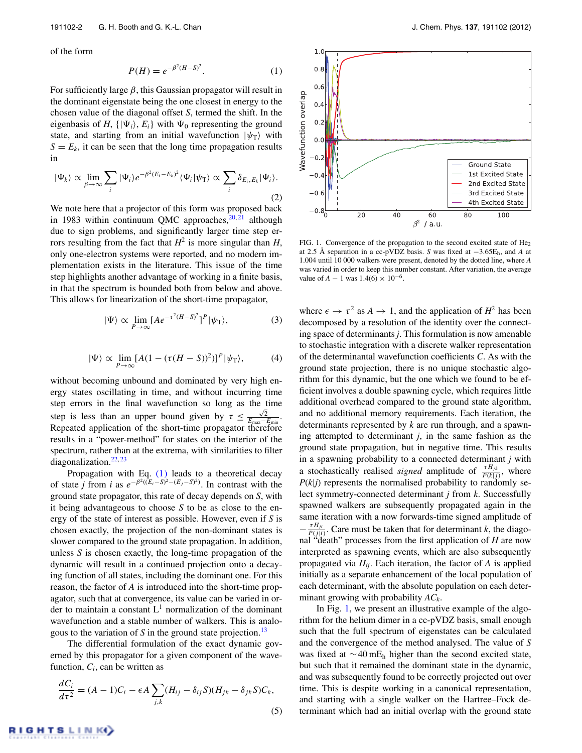of the form

<span id="page-2-0"></span>
$$
P(H) = e^{-\beta^2 (H - S)^2}.
$$
 (1)

For sufficiently large *β*, this Gaussian propagator will result in the dominant eigenstate being the one closest in energy to the chosen value of the diagonal offset *S*, termed the shift. In the eigenbasis of *H*,  $\{|\Psi_i\rangle, E_i\}$  with  $\Psi_0$  representing the ground state, and starting from an initial wavefunction  $|\psi_{\text{T}}\rangle$  with  $S = E_k$ , it can be seen that the long time propagation results in

$$
|\Psi_k\rangle \propto \lim_{\beta \to \infty} \sum_i |\Psi_i\rangle e^{-\beta^2 (E_i - E_k)^2} \langle \Psi_i | \psi_\text{T} \rangle \propto \sum_i \delta_{E_i, E_k} |\Psi_i\rangle.
$$
\n(2)

We note here that a projector of this form was proposed back in 1983 within continuum QMC approaches,  $20, 21$  $20, 21$  although due to sign problems, and significantly larger time step errors resulting from the fact that  $H^2$  is more singular than  $H$ , only one-electron systems were reported, and no modern implementation exists in the literature. This issue of the time step highlights another advantage of working in a finite basis, in that the spectrum is bounded both from below and above. This allows for linearization of the short-time propagator,

$$
|\Psi\rangle \propto \lim_{P \to \infty} [A e^{-\tau^2 (H - S)^2}]^P |\psi_T\rangle, \tag{3}
$$

$$
|\Psi\rangle \propto \lim_{P \to \infty} [A(1 - (\tau(H - S))^2)]^P |\psi_T\rangle, \tag{4}
$$

without becoming unbound and dominated by very high energy states oscillating in time, and without incurring time step errors in the final wavefunction so long as the time step is less than an upper bound given by  $\tau \leq \frac{\sqrt{2}}{E_{\text{max}}-E_{\text{min}}}.$ Repeated application of the short-time propagator therefore results in a "power-method" for states on the interior of the spectrum, rather than at the extrema, with similarities to filter diagonalization.<sup>22, [23](#page-4-22)</sup>

Propagation with Eq. [\(1\)](#page-2-0) leads to a theoretical decay of state *j* from *i* as  $e^{-\beta^2((E_i-S)^2-(E_j-S)^2)}$ . In contrast with the ground state propagator, this rate of decay depends on *S*, with it being advantageous to choose *S* to be as close to the energy of the state of interest as possible. However, even if *S* is chosen exactly, the projection of the non-dominant states is slower compared to the ground state propagation. In addition, unless *S* is chosen exactly, the long-time propagation of the dynamic will result in a continued projection onto a decaying function of all states, including the dominant one. For this reason, the factor of *A* is introduced into the short-time propagator, such that at convergence, its value can be varied in order to maintain a constant  $L<sup>1</sup>$  normalization of the dominant wavefunction and a stable number of walkers. This is analogous to the variation of *S* in the ground state projection.<sup>[13](#page-4-12)</sup>

The differential formulation of the exact dynamic governed by this propagator for a given component of the wavefunction,  $C_i$ , can be written as

<span id="page-2-2"></span>
$$
\frac{dC_i}{d\tau^2} = (A-1)C_i - \epsilon A \sum_{j,k} (H_{ij} - \delta_{ij} S)(H_{jk} - \delta_{jk} S)C_k,
$$
\n(5)

<span id="page-2-1"></span>

FIG. 1. Convergence of the propagation to the second excited state of He<sub>2</sub> at 2.5 Å separation in a cc-pVDZ basis. *S* was fixed at −3.65Eh, and *A* at 1.004 until 10 000 walkers were present, denoted by the dotted line, where *A* was varied in order to keep this number constant. After variation, the average value of *A* − 1 was  $1.4(6) \times 10^{-6}$ .

where  $\epsilon \to \tau^2$  as  $A \to 1$ , and the application of  $H^2$  has been decomposed by a resolution of the identity over the connecting space of determinants *j*. This formulation is now amenable to stochastic integration with a discrete walker representation of the determinantal wavefunction coefficients *C*. As with the ground state projection, there is no unique stochastic algorithm for this dynamic, but the one which we found to be efficient involves a double spawning cycle, which requires little additional overhead compared to the ground state algorithm, and no additional memory requirements. Each iteration, the determinants represented by *k* are run through, and a spawning attempted to determinant *j*, in the same fashion as the ground state propagation, but in negative time. This results in a spawning probability to a connected determinant *j* with a stochastically realised *signed* amplitude of  $\frac{\tau H_{jk}}{P(k|j)}$ , where  $P(k|j)$  represents the normalised probability to randomly select symmetry-connected determinant *j* from *k*. Successfully spawned walkers are subsequently propagated again in the same iteration with a now forwards-time signed amplitude of  $-\frac{\tau H_{ji}}{P(j|i)}$ . Care must be taken that for determinant *k*, the diago- $P(j|i)$ . Care must be taken that for determinant  $k$ , the diagonal "death" processes from the first application of *H* are now interpreted as spawning events, which are also subsequently propagated via  $H_{ij}$ . Each iteration, the factor of *A* is applied initially as a separate enhancement of the local population of each determinant, with the absolute population on each determinant growing with probability *ACk*.

In Fig. [1,](#page-2-1) we present an illustrative example of the algorithm for the helium dimer in a cc-pVDZ basis, small enough such that the full spectrum of eigenstates can be calculated and the convergence of the method analysed. The value of *S* was fixed at  $\sim$ 40 mE<sub>h</sub> higher than the second excited state, but such that it remained the dominant state in the dynamic, and was subsequently found to be correctly projected out over time. This is despite working in a canonical representation, and starting with a single walker on the Hartree–Fock determinant which had an initial overlap with the ground state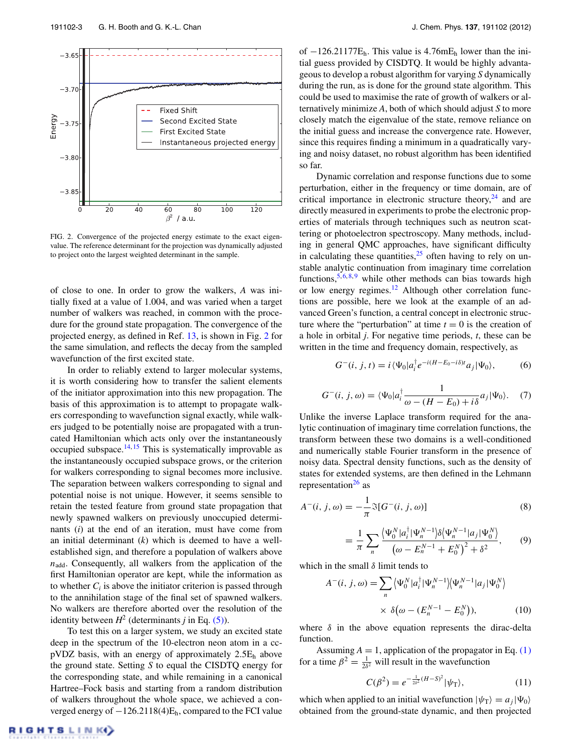<span id="page-3-0"></span>

FIG. 2. Convergence of the projected energy estimate to the exact eigenvalue. The reference determinant for the projection was dynamically adjusted to project onto the largest weighted determinant in the sample.

of close to one. In order to grow the walkers, *A* was initially fixed at a value of 1.004, and was varied when a target number of walkers was reached, in common with the procedure for the ground state propagation. The convergence of the projected energy, as defined in Ref. [13,](#page-4-12) is shown in Fig. [2](#page-3-0) for the same simulation, and reflects the decay from the sampled wavefunction of the first excited state.

In order to reliably extend to larger molecular systems, it is worth considering how to transfer the salient elements of the initiator approximation into this new propagation. The basis of this approximation is to attempt to propagate walkers corresponding to wavefunction signal exactly, while walkers judged to be potentially noise are propagated with a truncated Hamiltonian which acts only over the instantaneously occupied subspace. $14, 15$  $14, 15$  $14, 15$  This is systematically improvable as the instantaneously occupied subspace grows, or the criterion for walkers corresponding to signal becomes more inclusive. The separation between walkers corresponding to signal and potential noise is not unique. However, it seems sensible to retain the tested feature from ground state propagation that newly spawned walkers on previously unoccupied determinants (*i*) at the end of an iteration, must have come from an initial determinant (*k*) which is deemed to have a wellestablished sign, and therefore a population of walkers above  $n_{\text{add}}$ . Consequently, all walkers from the application of the first Hamiltonian operator are kept, while the information as to whether  $C_i$  is above the initiator criterion is passed through to the annihilation stage of the final set of spawned walkers. No walkers are therefore aborted over the resolution of the identity between  $H^2$  (determinants *j* in Eq. [\(5\)\)](#page-2-2).

To test this on a larger system, we study an excited state deep in the spectrum of the 10-electron neon atom in a ccpVDZ basis, with an energy of approximately 2*.*5Eh above the ground state. Setting *S* to equal the CISDTQ energy for the corresponding state, and while remaining in a canonical Hartree–Fock basis and starting from a random distribution of walkers throughout the whole space, we achieved a converged energy of −126.2118(4)Eh, compared to the FCI value of −126.21177Eh. This value is 4*.*76mEh lower than the initial guess provided by CISDTQ. It would be highly advantageous to develop a robust algorithm for varying *S* dynamically during the run, as is done for the ground state algorithm. This could be used to maximise the rate of growth of walkers or alternatively minimize *A*, both of which should adjust *S* to more closely match the eigenvalue of the state, remove reliance on the initial guess and increase the convergence rate. However, since this requires finding a minimum in a quadratically varying and noisy dataset, no robust algorithm has been identified so far.

Dynamic correlation and response functions due to some perturbation, either in the frequency or time domain, are of critical importance in electronic structure theory, $^{24}$  and are directly measured in experiments to probe the electronic properties of materials through techniques such as neutron scattering or photoelectron spectroscopy. Many methods, including in general QMC approaches, have significant difficulty in calculating these quantities, $2<sup>5</sup>$  often having to rely on unstable analytic continuation from imaginary time correlation functions,  $5, 6, 8, 9$  $5, 6, 8, 9$  $5, 6, 8, 9$  $5, 6, 8, 9$  $5, 6, 8, 9$  $5, 6, 8, 9$  $5, 6, 8, 9$  while other methods can bias towards high or low energy regimes.<sup>12</sup> Although other correlation functions are possible, here we look at the example of an advanced Green's function, a central concept in electronic structure where the "perturbation" at time  $t = 0$  is the creation of a hole in orbital *j*. For negative time periods, *t*, these can be written in the time and frequency domain, respectively, as

$$
G^{-}(i, j, t) = i \langle \Psi_0 | a_i^{\dagger} e^{-i(H - E_0 - i\delta)t} a_j | \Psi_0 \rangle, \tag{6}
$$

$$
G^{-}(i, j, \omega) = \langle \Psi_0 | a_i^{\dagger} \frac{1}{\omega - (H - E_0) + i\delta} a_j | \Psi_0 \rangle. \tag{7}
$$

Unlike the inverse Laplace transform required for the analytic continuation of imaginary time correlation functions, the transform between these two domains is a well-conditioned and numerically stable Fourier transform in the presence of noisy data. Spectral density functions, such as the density of states for extended systems, are then defined in the Lehmann representation $^{26}$  as

<span id="page-3-1"></span>
$$
A^{-}(i, j, \omega) = -\frac{1}{\pi} \Im[G^{-}(i, j, \omega)]
$$
\n(8)

$$
= \frac{1}{\pi} \sum_{n} \frac{\langle \Psi_0^N | a_i^\dagger | \Psi_n^{N-1} \rangle \delta \langle \Psi_n^{N-1} | a_j | \Psi_0^N \rangle}{\left( \omega - E_n^{N-1} + E_0^N \right)^2 + \delta^2}, \qquad (9)
$$

which in the small *δ* limit tends to

$$
A^{-}(i, j, \omega) = \sum_{n} \langle \Psi_0^N | a_i^{\dagger} | \Psi_n^{N-1} | \langle \Psi_n^{N-1} | a_j | \Psi_0^{N} \rangle
$$

$$
\times \delta(\omega - (E_n^{N-1} - E_0^{N})), \qquad (10)
$$

where  $\delta$  in the above equation represents the dirac-delta function.

Assuming  $A = 1$ , application of the propagator in Eq. [\(1\)](#page-2-0) for a time  $\beta^2 = \frac{1}{2\delta^2}$  will result in the wavefunction

<span id="page-3-2"></span>
$$
C(\beta^2) = e^{-\frac{1}{2\delta^2}(H-S)^2} |\psi_T\rangle, \tag{11}
$$

which when applied to an initial wavefunction  $|\psi_{\text{T}}\rangle = a_j |\Psi_0\rangle$ obtained from the ground-state dynamic, and then projected